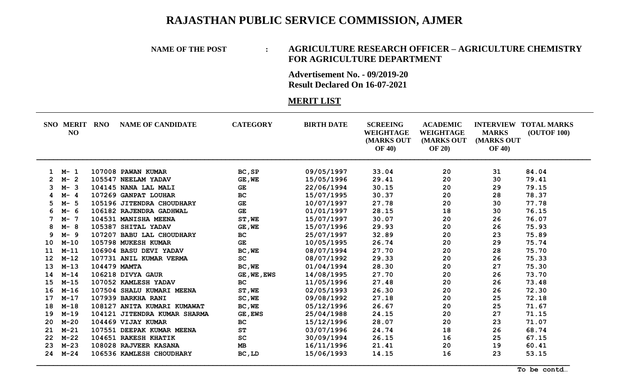## **RAJASTHAN PUBLIC SERVICE COMMISSION, AJMER**

## **NAME OF THE POST : AGRICULTURE RESEARCH OFFICER – AGRICULTURE CHEMISTRY FOR AGRICULTURE DEPARTMENT**

**Advertisement No. - 09/2019-20 Result Declared On 16-07-2021**

## **MERIT LIST**

|             | <b>SNO MERIT</b><br>NO | <b>RNO</b>   | <b>NAME OF CANDIDATE</b>     | <b>CATEGORY</b>        | <b>BIRTH DATE</b> | <b>SCREEING</b><br>WEIGHTAGE<br>(MARKS OUT<br><b>OF 40)</b> | <b>ACADEMIC</b><br>WEIGHTAGE<br>(MARKS OUT<br><b>OF 20)</b> | <b>MARKS</b><br>(MARKS OUT<br><b>OF 40)</b> | <b>INTERVIEW TOTAL MARKS</b><br><b>(OUTOF 100)</b> |
|-------------|------------------------|--------------|------------------------------|------------------------|-------------------|-------------------------------------------------------------|-------------------------------------------------------------|---------------------------------------------|----------------------------------------------------|
| $\mathbf 1$ | M- 1                   |              | 107008 PAWAN KUMAR           | BC, SP                 | 09/05/1997        | 33.04                                                       | 20                                                          | 31                                          | 84.04                                              |
|             | $M - 2$                |              | 105547 NEELAM YADAV          | GE, WE                 | 15/05/1996        | 29.41                                                       | 20                                                          | 30                                          | 79.41                                              |
| 3           | $M - 3$                |              | 104145 NANA LAL MALI         | <b>GE</b>              | 22/06/1994        | 30.15                                                       | 20                                                          | 29                                          | 79.15                                              |
|             | $M - 4$                |              | 107269 GANPAT LOUHAR         | <b>BC</b>              | 15/07/1995        | 30.37                                                       | 20                                                          | 28                                          | 78.37                                              |
|             | $M - 5$                |              | 105196 JITENDRA CHOUDHARY    | $\mathbf{G}\mathbf{E}$ | 10/07/1997        | 27.78                                                       | 20                                                          | 30                                          | 77.78                                              |
|             | M- 6                   |              | 106182 RAJENDRA GADHWAL      | GE                     | 01/01/1997        | 28.15                                                       | 18                                                          | 30                                          | 76.15                                              |
|             | $M-$<br>-7             |              | 104531 MANISHA MEENA         | ST, WE                 | 15/07/1997        | 30.07                                                       | 20                                                          | 26                                          | 76.07                                              |
| 8           | $M - 8$                |              | 105387 SHITAL YADAV          | GE, WE                 | 15/07/1996        | 29.93                                                       | 20                                                          | 26                                          | 75.93                                              |
| 9           | $M - 9$                |              | 107207 BABU LAL CHOUDHARY    | <b>BC</b>              | 25/07/1997        | 32.89                                                       | 20                                                          | 23                                          | 75.89                                              |
| 10          | $M-10$                 |              | 105798 MUKESH KUMAR          | <b>GE</b>              | 10/05/1995        | 26.74                                                       | 20                                                          | 29                                          | 75.74                                              |
| 11          | $M-11$                 |              | 106904 BASU DEVI YADAV       | BC, WE                 | 08/07/1994        | 27.70                                                       | 20                                                          | 28                                          | 75.70                                              |
| 12          | $M - 12$               |              | 107731 ANIL KUMAR VERMA      | SC                     | 08/07/1992        | 29.33                                                       | 20                                                          | 26                                          | 75.33                                              |
| 13          | $M-13$                 | 104479 MAMTA |                              | BC, WE                 | 01/04/1994        | 28.30                                                       | 20                                                          | 27                                          | 75.30                                              |
| 14          | $M - 14$               |              | 106218 DIVYA GAUR            | GE, WE, EWS            | 14/08/1995        | 27.70                                                       | 20                                                          | 26                                          | 73.70                                              |
| 15          | $M-15$                 |              | 107052 KAMLESH YADAV         | <b>BC</b>              | 11/05/1996        | 27.48                                                       | 20                                                          | 26                                          | 73.48                                              |
| 16          | $M-16$                 |              | 107504 SHALU KUMARI MEENA    | ST, WE                 | 02/05/1993        | 26.30                                                       | 20                                                          | 26                                          | 72.30                                              |
| 17          | $M - 17$               |              | 107939 BARKHA RANI           | SC, WE                 | 09/08/1992        | 27.18                                                       | 20                                                          | 25                                          | 72.18                                              |
| 18          | $M-18$                 |              | 108127 ANITA KUMARI KUMAWAT  | BC, WE                 | 05/12/1996        | 26.67                                                       | 20                                                          | 25                                          | 71.67                                              |
| 19          | $M-19$                 |              | 104121 JITENDRA KUMAR SHARMA | GE, EWS                | 25/04/1988        | 24.15                                                       | 20                                                          | 27                                          | 71.15                                              |
| 20          | $M-20$                 |              | 104469 VIJAY KUMAR           | BC                     | 15/12/1996        | 28.07                                                       | 20                                                          | 23                                          | 71.07                                              |
| 21          | $M - 21$               |              | 107551 DEEPAK KUMAR MEENA    | <b>ST</b>              | 03/07/1996        | 24.74                                                       | 18                                                          | 26                                          | 68.74                                              |
| 22          | $M-22$                 |              | 104651 RAKESH KHATIK         | SC                     | 30/09/1994        | 26.15                                                       | 16                                                          | 25                                          | 67.15                                              |
| 23          | $M-23$                 |              | 108028 RAJVEER KASANA        | MB                     | 16/11/1996        | 21.41                                                       | 20                                                          | 19                                          | 60.41                                              |
| 24          | $M - 24$               |              | 106536 KAMLESH CHOUDHARY     | BC, LD                 | 15/06/1993        | 14.15                                                       | 16                                                          | 23                                          | 53.15                                              |